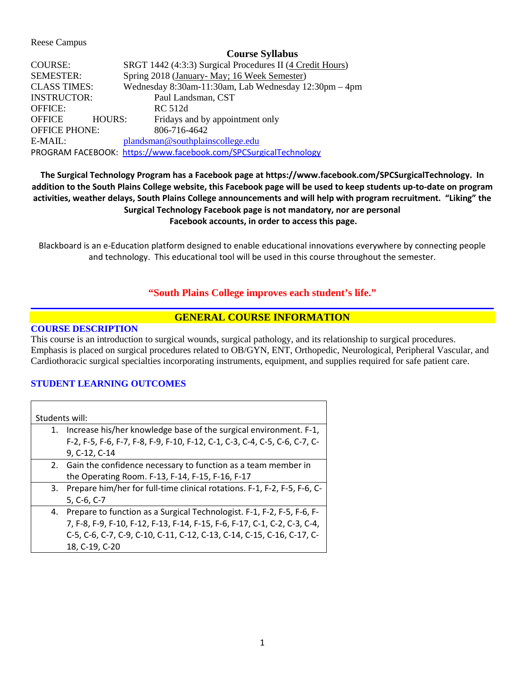Reese Campus

### **Course Syllabus**

| <b>COURSE:</b>                                                   | SRGT 1442 (4:3:3) Surgical Procedures II (4 Credit Hours) |  |  |  |
|------------------------------------------------------------------|-----------------------------------------------------------|--|--|--|
| <b>SEMESTER:</b>                                                 | Spring 2018 (January- May; 16 Week Semester)              |  |  |  |
| <b>CLASS TIMES:</b>                                              | Wednesday 8:30am-11:30am, Lab Wednesday 12:30pm - 4pm     |  |  |  |
| <b>INSTRUCTOR:</b>                                               | Paul Landsman, CST                                        |  |  |  |
| <b>OFFICE:</b>                                                   | RC 512d                                                   |  |  |  |
| <b>HOURS:</b><br>OFFICE                                          | Fridays and by appointment only                           |  |  |  |
| <b>OFFICE PHONE:</b>                                             | 806-716-4642                                              |  |  |  |
| E-MAIL:                                                          | plandsman@southplainscollege.edu                          |  |  |  |
| PROGRAM FACEBOOK: https://www.facebook.com/SPCSurgicalTechnology |                                                           |  |  |  |

# **The Surgical Technology Program has a Facebook page at https://www.facebook.com/SPCSurgicalTechnology. In addition to the South Plains College website, this Facebook page will be used to keep students up-to-date on program activities, weather delays, South Plains College announcements and will help with program recruitment. "Liking" the Surgical Technology Facebook page is not mandatory, nor are personal Facebook accounts, in order to access this page.**

Blackboard is an e-Education platform designed to enable educational innovations everywhere by connecting people and technology. This educational tool will be used in this course throughout the semester.

## **"South Plains College improves each student's life."**

# **GENERAL COURSE INFORMATION**

### **COURSE DESCRIPTION**

This course is an introduction to surgical wounds, surgical pathology, and its relationship to surgical procedures. Emphasis is placed on surgical procedures related to OB/GYN, ENT, Orthopedic, Neurological, Peripheral Vascular, and Cardiothoracic surgical specialties incorporating instruments, equipment, and supplies required for safe patient care.

## **STUDENT LEARNING OUTCOMES**

| Students will: |                                                                             |  |
|----------------|-----------------------------------------------------------------------------|--|
|                |                                                                             |  |
| 1.             | Increase his/her knowledge base of the surgical environment. F-1,           |  |
|                | F-2, F-5, F-6, F-7, F-8, F-9, F-10, F-12, C-1, C-3, C-4, C-5, C-6, C-7, C-  |  |
|                | 9, C-12, C-14                                                               |  |
|                | 2. Gain the confidence necessary to function as a team member in            |  |
|                | the Operating Room. F-13, F-14, F-15, F-16, F-17                            |  |
|                | 3. Prepare him/her for full-time clinical rotations. F-1, F-2, F-5, F-6, C- |  |
|                | 5, C-6, C-7                                                                 |  |
|                | 4. Prepare to function as a Surgical Technologist. F-1, F-2, F-5, F-6, F-   |  |
|                | 7, F-8, F-9, F-10, F-12, F-13, F-14, F-15, F-6, F-17, C-1, C-2, C-3, C-4,   |  |
|                | C-5, C-6, C-7, C-9, C-10, C-11, C-12, C-13, C-14, C-15, C-16, C-17, C-      |  |
|                | 18, C-19, C-20                                                              |  |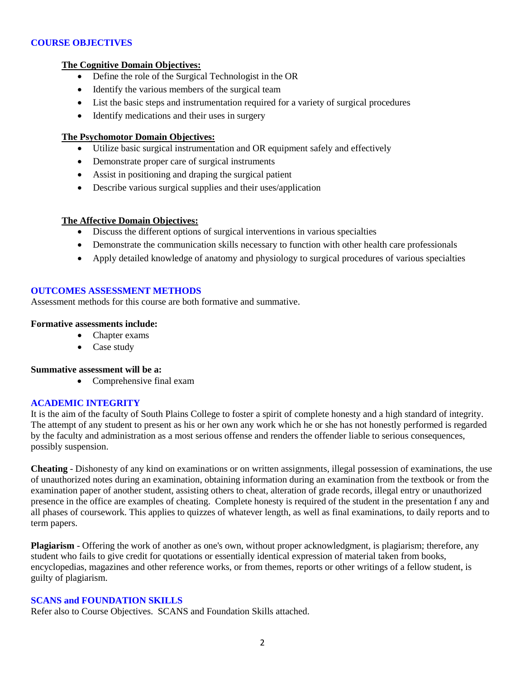## **COURSE OBJECTIVES**

### **The Cognitive Domain Objectives:**

- Define the role of the Surgical Technologist in the OR
- Identify the various members of the surgical team
- List the basic steps and instrumentation required for a variety of surgical procedures
- Identify medications and their uses in surgery

### **The Psychomotor Domain Objectives:**

- Utilize basic surgical instrumentation and OR equipment safely and effectively
- Demonstrate proper care of surgical instruments
- Assist in positioning and draping the surgical patient
- Describe various surgical supplies and their uses/application

#### **The Affective Domain Objectives:**

- Discuss the different options of surgical interventions in various specialties
- Demonstrate the communication skills necessary to function with other health care professionals
- Apply detailed knowledge of anatomy and physiology to surgical procedures of various specialties

#### **OUTCOMES ASSESSMENT METHODS**

Assessment methods for this course are both formative and summative.

#### **Formative assessments include:**

- Chapter exams
- Case study

#### **Summative assessment will be a:**

• Comprehensive final exam

## **ACADEMIC INTEGRITY**

It is the aim of the faculty of South Plains College to foster a spirit of complete honesty and a high standard of integrity. The attempt of any student to present as his or her own any work which he or she has not honestly performed is regarded by the faculty and administration as a most serious offense and renders the offender liable to serious consequences, possibly suspension.

**Cheating** - Dishonesty of any kind on examinations or on written assignments, illegal possession of examinations, the use of unauthorized notes during an examination, obtaining information during an examination from the textbook or from the examination paper of another student, assisting others to cheat, alteration of grade records, illegal entry or unauthorized presence in the office are examples of cheating. Complete honesty is required of the student in the presentation f any and all phases of coursework. This applies to quizzes of whatever length, as well as final examinations, to daily reports and to term papers.

**Plagiarism** - Offering the work of another as one's own, without proper acknowledgment, is plagiarism; therefore, any student who fails to give credit for quotations or essentially identical expression of material taken from books, encyclopedias, magazines and other reference works, or from themes, reports or other writings of a fellow student, is guilty of plagiarism.

#### **SCANS and FOUNDATION SKILLS**

Refer also to Course Objectives. SCANS and Foundation Skills attached.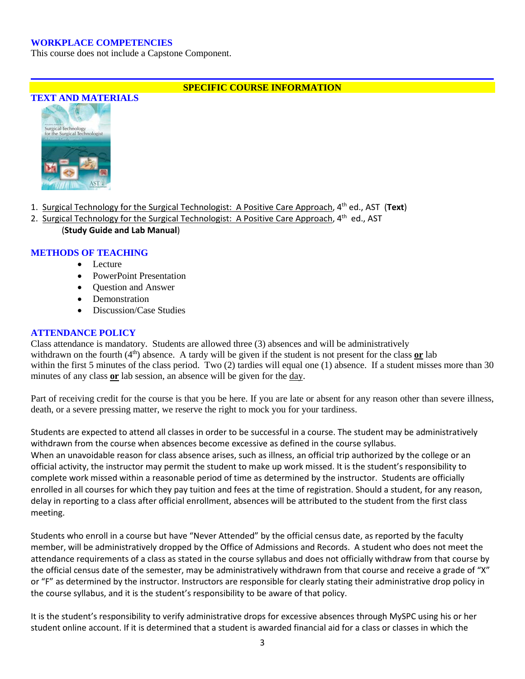## **WORKPLACE COMPETENCIES**

This course does not include a Capstone Component.

## **SPECIFIC COURSE INFORMATION**



- 1. Surgical Technology for the Surgical Technologist: A Positive Care Approach, 4th ed., AST (**Text**)
- 2. Surgical Technology for the Surgical Technologist: A Positive Care Approach,  $4<sup>th</sup>$  ed., AST
	- (**Study Guide and Lab Manual**)

## **METHODS OF TEACHING**

- Lecture
- PowerPoint Presentation
- Question and Answer
- Demonstration
- Discussion/Case Studies

## **ATTENDANCE POLICY**

Class attendance is mandatory. Students are allowed three (3) absences and will be administratively withdrawn on the fourth  $(4<sup>th</sup>)$  absence. A tardy will be given if the student is not present for the class or lab within the first 5 minutes of the class period. Two (2) tardies will equal one (1) absence. If a student misses more than 30 minutes of any class or lab session, an absence will be given for the day.

Part of receiving credit for the course is that you be here. If you are late or absent for any reason other than severe illness, death, or a severe pressing matter, we reserve the right to mock you for your tardiness.

Students are expected to attend all classes in order to be successful in a course. The student may be administratively withdrawn from the course when absences become excessive as defined in the course syllabus. When an unavoidable reason for class absence arises, such as illness, an official trip authorized by the college or an official activity, the instructor may permit the student to make up work missed. It is the student's responsibility to complete work missed within a reasonable period of time as determined by the instructor. Students are officially enrolled in all courses for which they pay tuition and fees at the time of registration. Should a student, for any reason, delay in reporting to a class after official enrollment, absences will be attributed to the student from the first class meeting.

Students who enroll in a course but have "Never Attended" by the official census date, as reported by the faculty member, will be administratively dropped by the Office of Admissions and Records. A student who does not meet the attendance requirements of a class as stated in the course syllabus and does not officially withdraw from that course by the official census date of the semester, may be administratively withdrawn from that course and receive a grade of "X" or "F" as determined by the instructor. Instructors are responsible for clearly stating their administrative drop policy in the course syllabus, and it is the student's responsibility to be aware of that policy.

It is the student's responsibility to verify administrative drops for excessive absences through MySPC using his or her student online account. If it is determined that a student is awarded financial aid for a class or classes in which the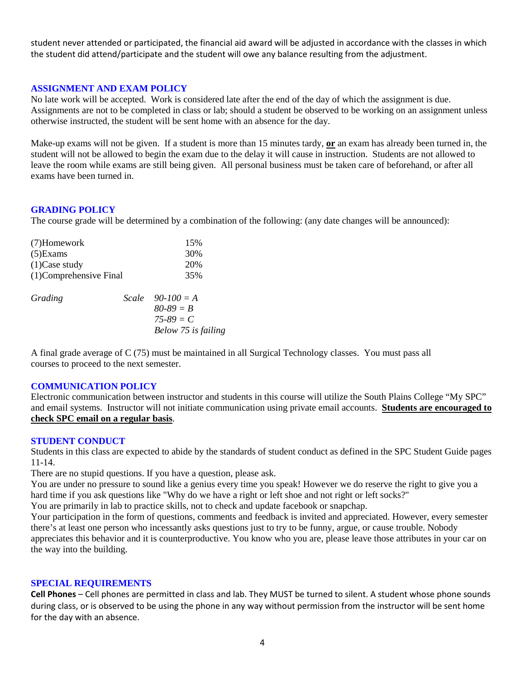student never attended or participated, the financial aid award will be adjusted in accordance with the classes in which the student did attend/participate and the student will owe any balance resulting from the adjustment.

### **ASSIGNMENT AND EXAM POLICY**

No late work will be accepted. Work is considered late after the end of the day of which the assignment is due. Assignments are not to be completed in class or lab; should a student be observed to be working on an assignment unless otherwise instructed, the student will be sent home with an absence for the day.

Make-up exams will not be given. If a student is more than 15 minutes tardy, **or** an exam has already been turned in, the student will not be allowed to begin the exam due to the delay it will cause in instruction. Students are not allowed to leave the room while exams are still being given. All personal business must be taken care of beforehand, or after all exams have been turned in.

#### **GRADING POLICY**

The course grade will be determined by a combination of the following: (any date changes will be announced):

| (7)Homework             | 15% |                     |
|-------------------------|-----|---------------------|
| $(5)$ Exams             | 30% |                     |
| $(1)$ Case study        | 20% |                     |
| (1) Comprehensive Final | 35% |                     |
| Grading                 |     | Scale $90-100 = A$  |
|                         |     | $80 - 89 = B$       |
|                         |     | $75 - 89 = C$       |
|                         |     | Below 75 is failing |

A final grade average of C (75) must be maintained in all Surgical Technology classes. You must pass all courses to proceed to the next semester.

#### **COMMUNICATION POLICY**

Electronic communication between instructor and students in this course will utilize the South Plains College "My SPC" and email systems. Instructor will not initiate communication using private email accounts. **Students are encouraged to check SPC email on a regular basis**.

#### **STUDENT CONDUCT**

Students in this class are expected to abide by the standards of student conduct as defined in the SPC Student Guide pages 11-14.

There are no stupid questions. If you have a question, please ask.

You are under no pressure to sound like a genius every time you speak! However we do reserve the right to give you a hard time if you ask questions like "Why do we have a right or left shoe and not right or left socks?"

You are primarily in lab to practice skills, not to check and update facebook or snapchap.

Your participation in the form of questions, comments and feedback is invited and appreciated. However, every semester there's at least one person who incessantly asks questions just to try to be funny, argue, or cause trouble. Nobody appreciates this behavior and it is counterproductive. You know who you are, please leave those attributes in your car on the way into the building.

#### **SPECIAL REQUIREMENTS**

**Cell Phones** – Cell phones are permitted in class and lab. They MUST be turned to silent. A student whose phone sounds during class, or is observed to be using the phone in any way without permission from the instructor will be sent home for the day with an absence.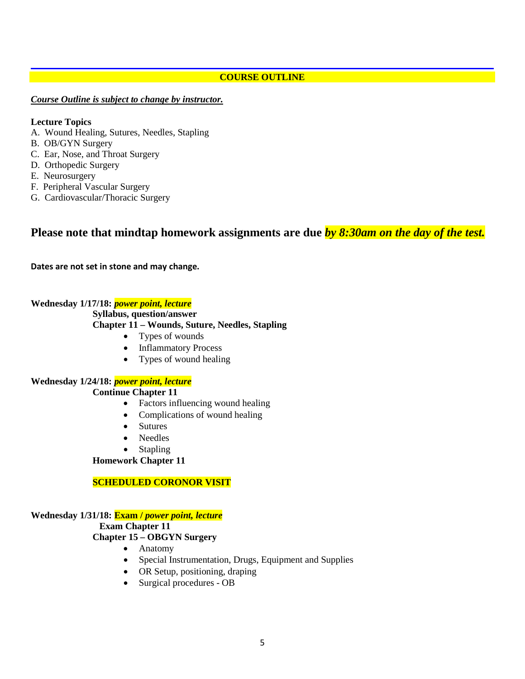## **COURSE OUTLINE**

### *Course Outline is subject to change by instructor.*

#### **Lecture Topics**

- A. Wound Healing, Sutures, Needles, Stapling
- B. OB/GYN Surgery
- C. Ear, Nose, and Throat Surgery
- D. Orthopedic Surgery
- E. Neurosurgery
- F. Peripheral Vascular Surgery
- G. Cardiovascular/Thoracic Surgery

# **Please note that mindtap homework assignments are due** *by 8:30am on the day of the test.*

**Dates are not set in stone and may change.**

#### **Wednesday 1/17/18:** *power point, lecture*

#### **Syllabus, question/answer**

### **Chapter 11 – Wounds, Suture, Needles, Stapling**

- Types of wounds
- Inflammatory Process
- Types of wound healing

### **Wednesday 1/24/18:** *power point, lecture*

## **Continue Chapter 11**

- Factors influencing wound healing
- Complications of wound healing
- Sutures
- Needles
- Stapling

#### **Homework Chapter 11**

## **SCHEDULED CORONOR VISIT**

## **Wednesday 1/31/18: Exam /** *power point, lecture*

#### **Exam Chapter 11**

## **Chapter 15 – OBGYN Surgery**

- Anatomy
- Special Instrumentation, Drugs, Equipment and Supplies
- OR Setup, positioning, draping
- Surgical procedures OB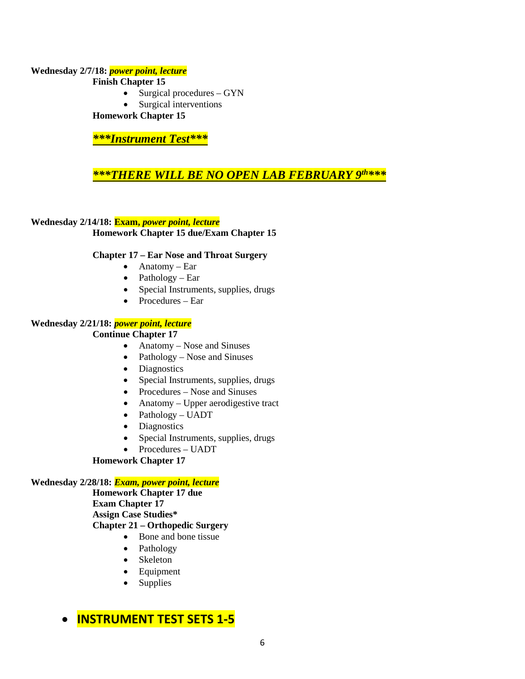## **Wednesday 2/7/18:** *power point, lecture* **Finish Chapter 15**

- Surgical procedures GYN
- Surgical interventions

**Homework Chapter 15**

*\*\*\*Instrument Test\*\*\**

# *\*\*\*THERE WILL BE NO OPEN LAB FEBRUARY 9th\*\*\**

## **Wednesday 2/14/18: Exam,** *power point, lecture*

**Homework Chapter 15 due/Exam Chapter 15**

## **Chapter 17 – Ear Nose and Throat Surgery**

- Anatomy Ear
- Pathology Ear
- Special Instruments, supplies, drugs
- Procedures Ear

## **Wednesday 2/21/18:** *power point, lecture*

## **Continue Chapter 17**

- Anatomy Nose and Sinuses
- Pathology Nose and Sinuses
- Diagnostics
- Special Instruments, supplies, drugs
- Procedures Nose and Sinuses
- Anatomy Upper aerodigestive tract
- Pathology UADT
- Diagnostics
- Special Instruments, supplies, drugs
- Procedures UADT

## **Homework Chapter 17**

## **Wednesday 2/28/18:** *Exam, power point, lecture*

**Homework Chapter 17 due Exam Chapter 17 Assign Case Studies\* Chapter 21 – Orthopedic Surgery**

- Bone and bone tissue
- Pathology
- Skeleton
- Equipment
- Supplies

# • **INSTRUMENT TEST SETS 1-5**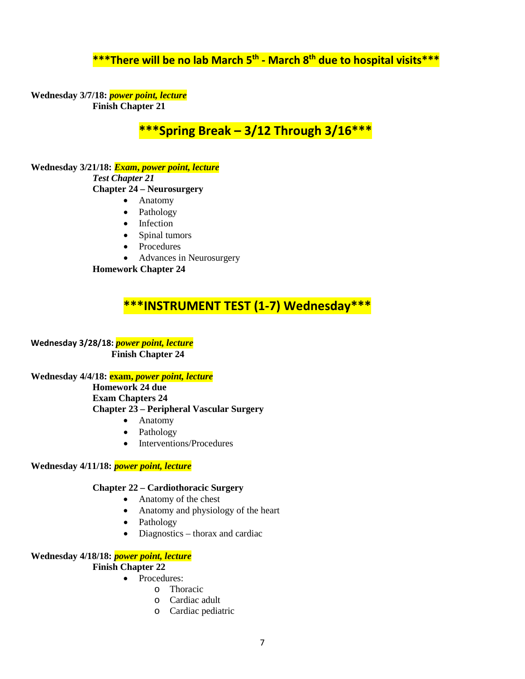# **\*\*\*There will be no lab March 5th - March 8th due to hospital visits\*\*\***

**Wednesday 3/7/18:** *power point, lecture* **Finish Chapter 21**

**\*\*\*Spring Break – 3/12 Through 3/16\*\*\***

**Wednesday 3/21/18:** *Exam***,** *power point, lecture Test Chapter 21* **Chapter 24 – Neurosurgery**

- Anatomy
- Pathology
- Infection
- Spinal tumors
- Procedures
- Advances in Neurosurgery

**Homework Chapter 24**

# **\*\*\*INSTRUMENT TEST (1-7) Wednesday\*\*\***

**Wednesday 3/28/18:** *power point, lecture* **Finish Chapter 24**

**Wednesday 4/4/18: exam,** *power point, lecture*

**Homework 24 due Exam Chapters 24 Chapter 23 – Peripheral Vascular Surgery**

- Anatomy
- Pathology
- Interventions/Procedures

#### **Wednesday 4/11/18:** *power point, lecture*

## **Chapter 22 – Cardiothoracic Surgery**

- Anatomy of the chest
- Anatomy and physiology of the heart
- Pathology
- Diagnostics thorax and cardiac

## **Wednesday 4/18/18:** *power point, lecture*

#### **Finish Chapter 22**

- Procedures:
	- o Thoracic
	- o Cardiac adult
	- o Cardiac pediatric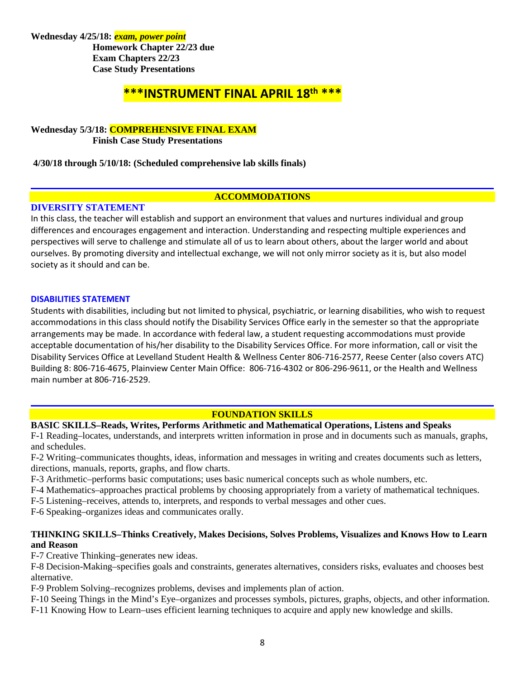**Wednesday 4/25/18:** *exam, power point* **Homework Chapter 22/23 due Exam Chapters 22/23 Case Study Presentations**

# **\*\*\*INSTRUMENT FINAL APRIL 18th \*\*\***

### **Wednesday 5/3/18: COMPREHENSIVE FINAL EXAM Finish Case Study Presentations**

**4/30/18 through 5/10/18: (Scheduled comprehensive lab skills finals)**

## **ACCOMMODATIONS**

## **DIVERSITY STATEMENT**

In this class, the teacher will establish and support an environment that values and nurtures individual and group differences and encourages engagement and interaction. Understanding and respecting multiple experiences and perspectives will serve to challenge and stimulate all of us to learn about others, about the larger world and about ourselves. By promoting diversity and intellectual exchange, we will not only mirror society as it is, but also model society as it should and can be.

## **DISABILITIES STATEMENT**

Students with disabilities, including but not limited to physical, psychiatric, or learning disabilities, who wish to request accommodations in this class should notify the Disability Services Office early in the semester so that the appropriate arrangements may be made. In accordance with federal law, a student requesting accommodations must provide acceptable documentation of his/her disability to the Disability Services Office. For more information, call or visit the Disability Services Office at Levelland Student Health & Wellness Center 806-716-2577, Reese Center (also covers ATC) Building 8: 806-716-4675, Plainview Center Main Office: 806-716-4302 or 806-296-9611, or the Health and Wellness main number at 806-716-2529.

## **FOUNDATION SKILLS**

## **BASIC SKILLS–Reads, Writes, Performs Arithmetic and Mathematical Operations, Listens and Speaks**

F-1 Reading–locates, understands, and interprets written information in prose and in documents such as manuals, graphs, and schedules.

F-2 Writing–communicates thoughts, ideas, information and messages in writing and creates documents such as letters, directions, manuals, reports, graphs, and flow charts.

F-3 Arithmetic–performs basic computations; uses basic numerical concepts such as whole numbers, etc.

F-4 Mathematics–approaches practical problems by choosing appropriately from a variety of mathematical techniques.

F-5 Listening–receives, attends to, interprets, and responds to verbal messages and other cues.

F-6 Speaking–organizes ideas and communicates orally.

## **THINKING SKILLS–Thinks Creatively, Makes Decisions, Solves Problems, Visualizes and Knows How to Learn and Reason**

F-7 Creative Thinking–generates new ideas.

F-8 Decision-Making–specifies goals and constraints, generates alternatives, considers risks, evaluates and chooses best alternative.

F-9 Problem Solving–recognizes problems, devises and implements plan of action.

F-10 Seeing Things in the Mind's Eye–organizes and processes symbols, pictures, graphs, objects, and other information.

F-11 Knowing How to Learn–uses efficient learning techniques to acquire and apply new knowledge and skills.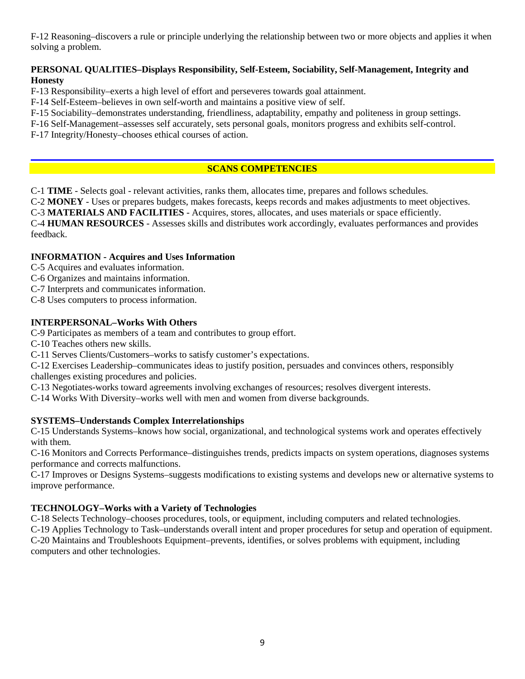F-12 Reasoning–discovers a rule or principle underlying the relationship between two or more objects and applies it when solving a problem.

## **PERSONAL QUALITIES–Displays Responsibility, Self-Esteem, Sociability, Self-Management, Integrity and Honesty**

F-13 Responsibility–exerts a high level of effort and perseveres towards goal attainment.

F-14 Self-Esteem–believes in own self-worth and maintains a positive view of self.

F-15 Sociability–demonstrates understanding, friendliness, adaptability, empathy and politeness in group settings.

F-16 Self-Management–assesses self accurately, sets personal goals, monitors progress and exhibits self-control.

F-17 Integrity/Honesty–chooses ethical courses of action.

## **SCANS COMPETENCIES**

C-1 **TIME** - Selects goal - relevant activities, ranks them, allocates time, prepares and follows schedules.

C-2 **MONEY** - Uses or prepares budgets, makes forecasts, keeps records and makes adjustments to meet objectives.

C-3 **MATERIALS AND FACILITIES** - Acquires, stores, allocates, and uses materials or space efficiently.

C-4 **HUMAN RESOURCES** - Assesses skills and distributes work accordingly, evaluates performances and provides feedback.

## **INFORMATION - Acquires and Uses Information**

- C-5 Acquires and evaluates information.
- C-6 Organizes and maintains information.
- C-7 Interprets and communicates information.
- C-8 Uses computers to process information.

## **INTERPERSONAL–Works With Others**

C-9 Participates as members of a team and contributes to group effort.

- C-10 Teaches others new skills.
- C-11 Serves Clients/Customers–works to satisfy customer's expectations.

C-12 Exercises Leadership–communicates ideas to justify position, persuades and convinces others, responsibly challenges existing procedures and policies.

C-13 Negotiates-works toward agreements involving exchanges of resources; resolves divergent interests.

C-14 Works With Diversity–works well with men and women from diverse backgrounds.

## **SYSTEMS–Understands Complex Interrelationships**

C-15 Understands Systems–knows how social, organizational, and technological systems work and operates effectively with them.

C-16 Monitors and Corrects Performance–distinguishes trends, predicts impacts on system operations, diagnoses systems performance and corrects malfunctions.

C-17 Improves or Designs Systems–suggests modifications to existing systems and develops new or alternative systems to improve performance.

## **TECHNOLOGY–Works with a Variety of Technologies**

C-18 Selects Technology–chooses procedures, tools, or equipment, including computers and related technologies.

C-19 Applies Technology to Task–understands overall intent and proper procedures for setup and operation of equipment. C-20 Maintains and Troubleshoots Equipment–prevents, identifies, or solves problems with equipment, including computers and other technologies.